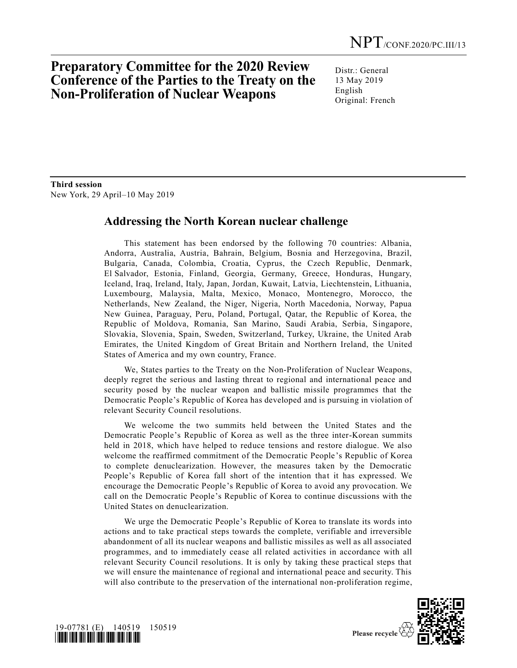## **Preparatory Committee for the 2020 Review Conference of the Parties to the Treaty on the Non-Proliferation of Nuclear Weapons**

Distr.: General 13 May 2019 English Original: French

**Third session** New York, 29 April–10 May 2019

## **Addressing the North Korean nuclear challenge**

This statement has been endorsed by the following 70 countries: Albania, Andorra, Australia, Austria, Bahrain, Belgium, Bosnia and Herzegovina, Brazil, Bulgaria, Canada, Colombia, Croatia, Cyprus, the Czech Republic, Denmark, El Salvador, Estonia, Finland, Georgia, Germany, Greece, Honduras, Hungary, Iceland, Iraq, Ireland, Italy, Japan, Jordan, Kuwait, Latvia, Liechtenstein, Lithuania, Luxembourg, Malaysia, Malta, Mexico, Monaco, Montenegro, Morocco, the Netherlands, New Zealand, the Niger, Nigeria, North Macedonia, Norway, Papua New Guinea, Paraguay, Peru, Poland, Portugal, Qatar, the Republic of Korea, the Republic of Moldova, Romania, San Marino, Saudi Arabia, Serbia, Singapore, Slovakia, Slovenia, Spain, Sweden, Switzerland, Turkey, Ukraine, the United Arab Emirates, the United Kingdom of Great Britain and Northern Ireland, the United States of America and my own country, France.

We, States parties to the Treaty on the Non-Proliferation of Nuclear Weapons, deeply regret the serious and lasting threat to regional and international peace and security posed by the nuclear weapon and ballistic missile programmes that the Democratic People's Republic of Korea has developed and is pursuing in violation of relevant Security Council resolutions.

We welcome the two summits held between the United States and the Democratic People's Republic of Korea as well as the three inter-Korean summits held in 2018, which have helped to reduce tensions and restore dialogue. We also welcome the reaffirmed commitment of the Democratic People's Republic of Korea to complete denuclearization. However, the measures taken by the Democratic People's Republic of Korea fall short of the intention that it has expressed. We encourage the Democratic People's Republic of Korea to avoid any provocation. We call on the Democratic People's Republic of Korea to continue discussions with the United States on denuclearization.

We urge the Democratic People's Republic of Korea to translate its words into actions and to take practical steps towards the complete, verifiable and irreversible abandonment of all its nuclear weapons and ballistic missiles as well as all associated programmes, and to immediately cease all related activities in accordance with all relevant Security Council resolutions. It is only by taking these practical steps that we will ensure the maintenance of regional and international peace and security. This will also contribute to the preservation of the international non-proliferation regime,